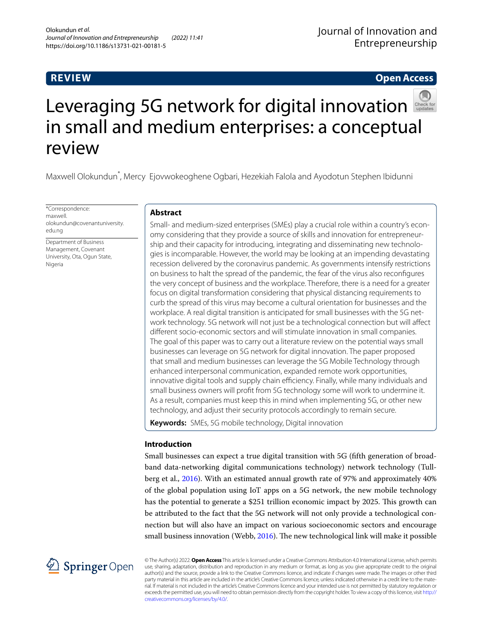# **REVIEW**

# **Open Access**



# Leveraging5G network for digital innovation in small and medium enterprises: a conceptual review

Maxwell Olokundun\* , Mercy Ejovwokeoghene Ogbari, Hezekiah Falola and Ayodotun Stephen Ibidunni

\*Correspondence: maxwell. olokundun@covenantuniversity. edu.ng

Department of Business Management, Covenant University, Ota, Ogun State, Nigeria

# **Abstract**

Small- and medium-sized enterprises (SMEs) play a crucial role within a country's economy considering that they provide a source of skills and innovation for entrepreneurship and their capacity for introducing, integrating and disseminating new technologies is incomparable. However, the world may be looking at an impending devastating recession delivered by the coronavirus pandemic. As governments intensify restrictions on business to halt the spread of the pandemic, the fear of the virus also reconfgures the very concept of business and the workplace. Therefore, there is a need for a greater focus on digital transformation considering that physical distancing requirements to curb the spread of this virus may become a cultural orientation for businesses and the workplace. A real digital transition is anticipated for small businesses with the 5G network technology. 5G network will not just be a technological connection but will afect diferent socio-economic sectors and will stimulate innovation in small companies. The goal of this paper was to carry out a literature review on the potential ways small businesses can leverage on 5G network for digital innovation. The paper proposed that small and medium businesses can leverage the 5G Mobile Technology through enhanced interpersonal communication, expanded remote work opportunities, innovative digital tools and supply chain efficiency. Finally, while many individuals and small business owners will proft from 5G technology some will work to undermine it. As a result, companies must keep this in mind when implementing 5G, or other new technology, and adjust their security protocols accordingly to remain secure.

**Keywords:** SMEs, 5G mobile technology, Digital innovation

# **Introduction**

Small businesses can expect a true digital transition with 5G (ffth generation of broadband data-networking digital communications technology) network technology (Tullberg et al., [2016](#page-9-0)). With an estimated annual growth rate of 97% and approximately 40% of the global population using IoT apps on a 5G network, the new mobile technology has the potential to generate a \$251 trillion economic impact by 2025. This growth can be attributed to the fact that the 5G network will not only provide a technological connection but will also have an impact on various socioeconomic sectors and encourage small business innovation (Webb,  $2016$ ). The new technological link will make it possible



© The Author(s) 2022. **Open Access** This article is licensed under a Creative Commons Attribution 4.0 International License, which permits use, sharing, adaptation, distribution and reproduction in any medium or format, as long as you give appropriate credit to the original author(s) and the source, provide a link to the Creative Commons licence, and indicate if changes were made. The images or other third party material in this article are included in the article's Creative Commons licence, unless indicated otherwise in a credit line to the material. If material is not included in the article's Creative Commons licence and your intended use is not permitted by statutory regulation or exceeds the permitted use, you will need to obtain permission directly from the copyright holder. To view a copy of this licence, visit [http://](http://creativecommons.org/licenses/by/4.0/) [creativecommons.org/licenses/by/4.0/.](http://creativecommons.org/licenses/by/4.0/)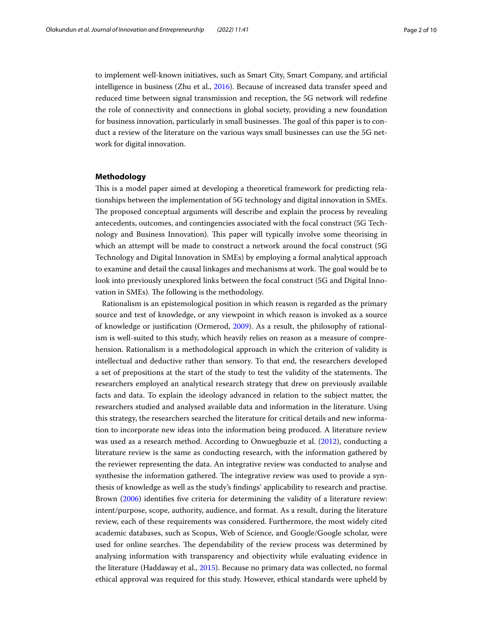to implement well-known initiatives, such as Smart City, Smart Company, and artifcial intelligence in business (Zhu et al., [2016](#page-9-2)). Because of increased data transfer speed and reduced time between signal transmission and reception, the 5G network will redefne the role of connectivity and connections in global society, providing a new foundation for business innovation, particularly in small businesses. The goal of this paper is to conduct a review of the literature on the various ways small businesses can use the 5G network for digital innovation.

### **Methodology**

This is a model paper aimed at developing a theoretical framework for predicting relationships between the implementation of 5G technology and digital innovation in SMEs. The proposed conceptual arguments will describe and explain the process by revealing antecedents, outcomes, and contingencies associated with the focal construct (5G Technology and Business Innovation). Tis paper will typically involve some theorising in which an attempt will be made to construct a network around the focal construct (5G Technology and Digital Innovation in SMEs) by employing a formal analytical approach to examine and detail the causal linkages and mechanisms at work. The goal would be to look into previously unexplored links between the focal construct (5G and Digital Innovation in SMEs). The following is the methodology.

Rationalism is an epistemological position in which reason is regarded as the primary source and test of knowledge, or any viewpoint in which reason is invoked as a source of knowledge or justifcation (Ormerod, [2009\)](#page-9-3). As a result, the philosophy of rationalism is well-suited to this study, which heavily relies on reason as a measure of comprehension. Rationalism is a methodological approach in which the criterion of validity is intellectual and deductive rather than sensory. To that end, the researchers developed a set of prepositions at the start of the study to test the validity of the statements. The researchers employed an analytical research strategy that drew on previously available facts and data. To explain the ideology advanced in relation to the subject matter, the researchers studied and analysed available data and information in the literature. Using this strategy, the researchers searched the literature for critical details and new information to incorporate new ideas into the information being produced. A literature review was used as a research method. According to Onwuegbuzie et al. ([2012](#page-9-4)), conducting a literature review is the same as conducting research, with the information gathered by the reviewer representing the data. An integrative review was conducted to analyse and synthesise the information gathered. The integrative review was used to provide a synthesis of knowledge as well as the study's fndings' applicability to research and practise. Brown [\(2006](#page-8-0)) identifies five criteria for determining the validity of a literature review: intent/purpose, scope, authority, audience, and format. As a result, during the literature review, each of these requirements was considered. Furthermore, the most widely cited academic databases, such as Scopus, Web of Science, and Google/Google scholar, were used for online searches. The dependability of the review process was determined by analysing information with transparency and objectivity while evaluating evidence in the literature (Haddaway et al., [2015\)](#page-8-1). Because no primary data was collected, no formal ethical approval was required for this study. However, ethical standards were upheld by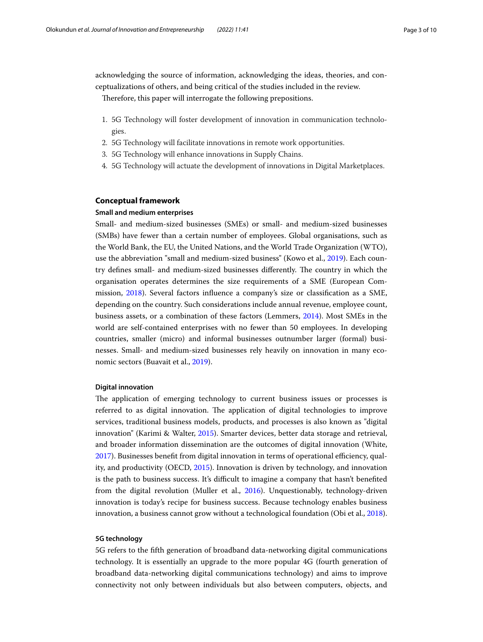acknowledging the source of information, acknowledging the ideas, theories, and conceptualizations of others, and being critical of the studies included in the review.

Therefore, this paper will interrogate the following prepositions.

- 1. 5G Technology will foster development of innovation in communication technologies.
- 2. 5G Technology will facilitate innovations in remote work opportunities.
- 3. 5G Technology will enhance innovations in Supply Chains.
- 4. 5G Technology will actuate the development of innovations in Digital Marketplaces.

# **Conceptual framework**

### **Small and medium enterprises**

Small- and medium-sized businesses (SMEs) or small- and medium-sized businesses (SMBs) have fewer than a certain number of employees. Global organisations, such as the World Bank, the EU, the United Nations, and the World Trade Organization (WTO), use the abbreviation "small and medium-sized business" (Kowo et al., [2019](#page-8-2)). Each country defines small- and medium-sized businesses differently. The country in which the organisation operates determines the size requirements of a SME (European Commission, [2018](#page-8-3)). Several factors infuence a company's size or classifcation as a SME, depending on the country. Such considerations include annual revenue, employee count, business assets, or a combination of these factors (Lemmers, [2014](#page-8-4)). Most SMEs in the world are self-contained enterprises with no fewer than 50 employees. In developing countries, smaller (micro) and informal businesses outnumber larger (formal) businesses. Small- and medium-sized businesses rely heavily on innovation in many economic sectors (Buavait et al., [2019\)](#page-8-5).

### **Digital innovation**

The application of emerging technology to current business issues or processes is referred to as digital innovation. The application of digital technologies to improve services, traditional business models, products, and processes is also known as "digital innovation" (Karimi & Walter, [2015\)](#page-8-6). Smarter devices, better data storage and retrieval, and broader information dissemination are the outcomes of digital innovation (White, [2017](#page-9-5)). Businesses benefit from digital innovation in terms of operational efficiency, quality, and productivity (OECD, [2015\)](#page-9-6). Innovation is driven by technology, and innovation is the path to business success. It's difficult to imagine a company that hasn't benefited from the digital revolution (Muller et al., [2016](#page-9-7)). Unquestionably, technology-driven innovation is today's recipe for business success. Because technology enables business innovation, a business cannot grow without a technological foundation (Obi et al., [2018](#page-9-8)).

# **5G technology**

5G refers to the ffth generation of broadband data-networking digital communications technology. It is essentially an upgrade to the more popular 4G (fourth generation of broadband data-networking digital communications technology) and aims to improve connectivity not only between individuals but also between computers, objects, and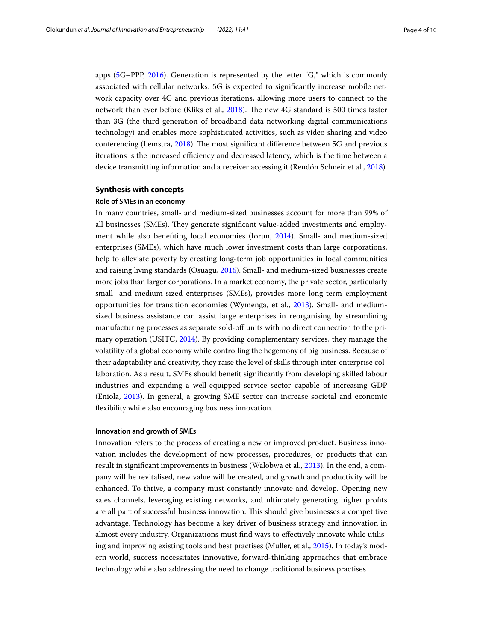apps ([5G](#page-7-0)–PPP, [2016\)](#page-7-0). Generation is represented by the letter "G," which is commonly associated with cellular networks. 5G is expected to signifcantly increase mobile network capacity over 4G and previous iterations, allowing more users to connect to the network than ever before (Kliks et al., [2018](#page-8-7)). The new 4G standard is 500 times faster than 3G (the third generation of broadband data-networking digital communications technology) and enables more sophisticated activities, such as video sharing and video conferencing (Lemstra,  $2018$ ). The most significant difference between 5G and previous iterations is the increased efficiency and decreased latency, which is the time between a device transmitting information and a receiver accessing it (Rendón Schneir et al., [2018](#page-9-9)).

### **Synthesis with concepts**

### **Role of SMEs in an economy**

In many countries, small- and medium-sized businesses account for more than 99% of all businesses (SMEs). They generate significant value-added investments and employment while also benefting local economies (Iorun, [2014](#page-8-9)). Small- and medium-sized enterprises (SMEs), which have much lower investment costs than large corporations, help to alleviate poverty by creating long-term job opportunities in local communities and raising living standards (Osuagu, [2016\)](#page-9-10). Small- and medium-sized businesses create more jobs than larger corporations. In a market economy, the private sector, particularly small- and medium-sized enterprises (SMEs), provides more long-term employment opportunities for transition economies (Wymenga, et al., [2013](#page-9-11)). Small- and mediumsized business assistance can assist large enterprises in reorganising by streamlining manufacturing processes as separate sold-off units with no direct connection to the primary operation (USITC, [2014\)](#page-9-12). By providing complementary services, they manage the volatility of a global economy while controlling the hegemony of big business. Because of their adaptability and creativity, they raise the level of skills through inter-enterprise collaboration. As a result, SMEs should beneft signifcantly from developing skilled labour industries and expanding a well-equipped service sector capable of increasing GDP (Eniola, [2013\)](#page-8-10). In general, a growing SME sector can increase societal and economic fexibility while also encouraging business innovation.

### **Innovation and growth of SMEs**

Innovation refers to the process of creating a new or improved product. Business innovation includes the development of new processes, procedures, or products that can result in signifcant improvements in business (Walobwa et al., [2013](#page-9-13)). In the end, a company will be revitalised, new value will be created, and growth and productivity will be enhanced. To thrive, a company must constantly innovate and develop. Opening new sales channels, leveraging existing networks, and ultimately generating higher profts are all part of successful business innovation. This should give businesses a competitive advantage. Technology has become a key driver of business strategy and innovation in almost every industry. Organizations must fnd ways to efectively innovate while utilising and improving existing tools and best practises (Muller, et al., [2015\)](#page-9-14). In today's modern world, success necessitates innovative, forward-thinking approaches that embrace technology while also addressing the need to change traditional business practises.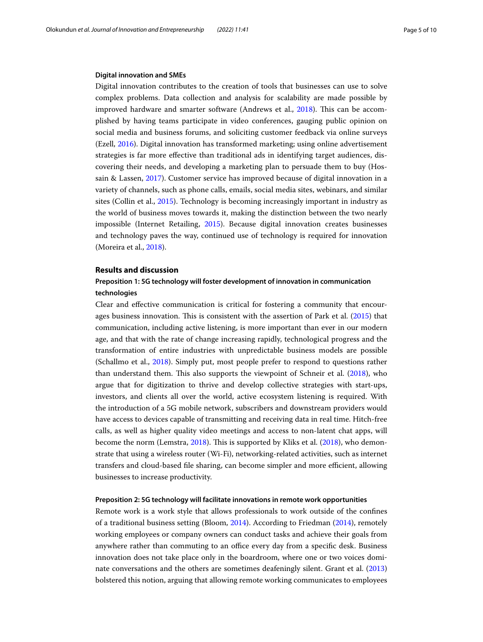### **Digital innovation and SMEs**

Digital innovation contributes to the creation of tools that businesses can use to solve complex problems. Data collection and analysis for scalability are made possible by improved hardware and smarter software (Andrews et al., [2018\)](#page-8-11). This can be accomplished by having teams participate in video conferences, gauging public opinion on social media and business forums, and soliciting customer feedback via online surveys (Ezell, [2016\)](#page-8-12). Digital innovation has transformed marketing; using online advertisement strategies is far more efective than traditional ads in identifying target audiences, discovering their needs, and developing a marketing plan to persuade them to buy (Hossain & Lassen, [2017](#page-8-13)). Customer service has improved because of digital innovation in a variety of channels, such as phone calls, emails, social media sites, webinars, and similar sites (Collin et al., [2015\)](#page-8-14). Technology is becoming increasingly important in industry as the world of business moves towards it, making the distinction between the two nearly impossible (Internet Retailing, [2015\)](#page-8-15). Because digital innovation creates businesses and technology paves the way, continued use of technology is required for innovation (Moreira et al., [2018\)](#page-8-16).

# **Results and discussion**

# **Preposition 1: 5G technology will foster development of innovation in communication technologies**

Clear and efective communication is critical for fostering a community that encour-ages business innovation. This is consistent with the assertion of Park et al. ([2015](#page-9-15)) that communication, including active listening, is more important than ever in our modern age, and that with the rate of change increasing rapidly, technological progress and the transformation of entire industries with unpredictable business models are possible (Schallmo et al., [2018\)](#page-9-16). Simply put, most people prefer to respond to questions rather than understand them. This also supports the viewpoint of Schneir et al.  $(2018)$  $(2018)$  $(2018)$ , who argue that for digitization to thrive and develop collective strategies with start-ups, investors, and clients all over the world, active ecosystem listening is required. With the introduction of a 5G mobile network, subscribers and downstream providers would have access to devices capable of transmitting and receiving data in real time. Hitch-free calls, as well as higher quality video meetings and access to non-latent chat apps, will become the norm (Lemstra, [2018\)](#page-8-8). This is supported by Kliks et al. ([2018](#page-8-7)), who demonstrate that using a wireless router (Wi-Fi), networking-related activities, such as internet transfers and cloud-based file sharing, can become simpler and more efficient, allowing businesses to increase productivity.

### **Preposition 2: 5G technology will facilitate innovations in remote work opportunities**

Remote work is a work style that allows professionals to work outside of the confnes of a traditional business setting (Bloom, [2014\)](#page-8-17). According to Friedman ([2014](#page-8-18)), remotely working employees or company owners can conduct tasks and achieve their goals from anywhere rather than commuting to an office every day from a specific desk. Business innovation does not take place only in the boardroom, where one or two voices dominate conversations and the others are sometimes deafeningly silent. Grant et al. ([2013](#page-8-19)) bolstered this notion, arguing that allowing remote working communicates to employees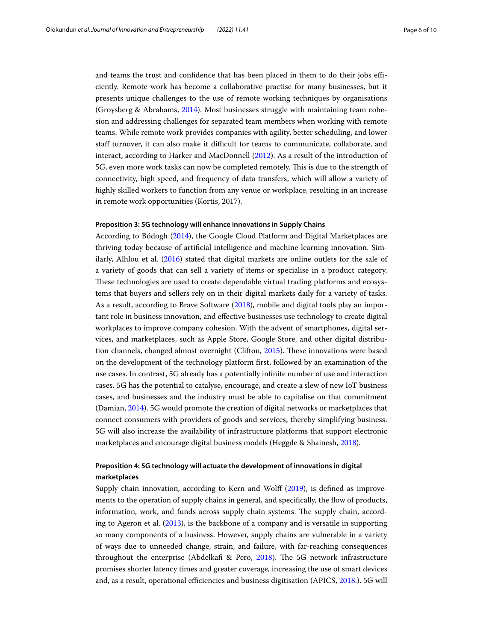and teams the trust and confidence that has been placed in them to do their jobs efficiently. Remote work has become a collaborative practise for many businesses, but it presents unique challenges to the use of remote working techniques by organisations (Groysberg & Abrahams,  $2014$ ). Most businesses struggle with maintaining team cohesion and addressing challenges for separated team members when working with remote teams. While remote work provides companies with agility, better scheduling, and lower staf turnover, it can also make it difcult for teams to communicate, collaborate, and interact, according to Harker and MacDonnell [\(2012\)](#page-8-21). As a result of the introduction of 5G, even more work tasks can now be completed remotely. Tis is due to the strength of connectivity, high speed, and frequency of data transfers, which will allow a variety of highly skilled workers to function from any venue or workplace, resulting in an increase in remote work opportunities (Kortis, 2017).

### **Preposition 3: 5G technology will enhance innovations in Supply Chains**

According to Bódogh [\(2014\)](#page-8-22), the Google Cloud Platform and Digital Marketplaces are thriving today because of artifcial intelligence and machine learning innovation. Similarly, Alhlou et al. [\(2016\)](#page-8-23) stated that digital markets are online outlets for the sale of a variety of goods that can sell a variety of items or specialise in a product category. These technologies are used to create dependable virtual trading platforms and ecosystems that buyers and sellers rely on in their digital markets daily for a variety of tasks. As a result, according to Brave Software ([2018\)](#page-8-24), mobile and digital tools play an important role in business innovation, and efective businesses use technology to create digital workplaces to improve company cohesion. With the advent of smartphones, digital services, and marketplaces, such as Apple Store, Google Store, and other digital distribu-tion channels, changed almost overnight (Clifton, [2015](#page-8-25)). These innovations were based on the development of the technology platform frst, followed by an examination of the use cases. In contrast, 5G already has a potentially infnite number of use and interaction cases. 5G has the potential to catalyse, encourage, and create a slew of new IoT business cases, and businesses and the industry must be able to capitalise on that commitment (Damian, [2014\)](#page-8-26). 5G would promote the creation of digital networks or marketplaces that connect consumers with providers of goods and services, thereby simplifying business. 5G will also increase the availability of infrastructure platforms that support electronic marketplaces and encourage digital business models (Heggde & Shainesh, [2018\)](#page-8-27).

# **Preposition 4: 5G technology will actuate the development of innovations in digital marketplaces**

Supply chain innovation, according to Kern and Wolf ([2019](#page-8-28)), is defned as improvements to the operation of supply chains in general, and specifcally, the fow of products, information, work, and funds across supply chain systems. The supply chain, according to Ageron et al. ([2013](#page-8-29)), is the backbone of a company and is versatile in supporting so many components of a business. However, supply chains are vulnerable in a variety of ways due to unneeded change, strain, and failure, with far-reaching consequences throughout the enterprise (Abdelkafi & Pero, [2018\)](#page-7-1). The 5G network infrastructure promises shorter latency times and greater coverage, increasing the use of smart devices and, as a result, operational efficiencies and business digitisation (APICS, [2018](#page-8-30).). 5G will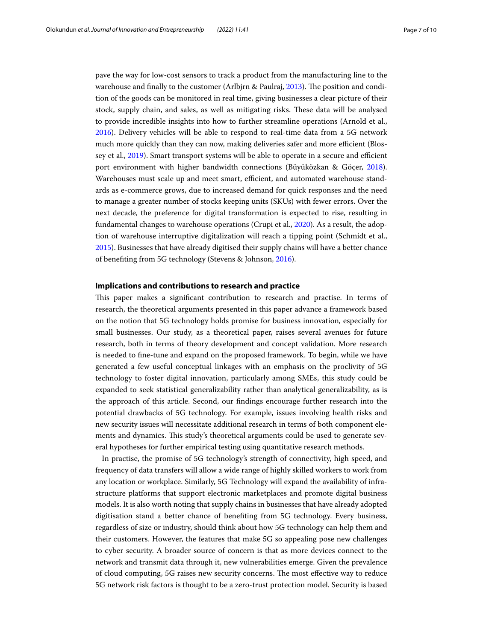pave the way for low-cost sensors to track a product from the manufacturing line to the warehouse and finally to the customer (Arlbjrn & Paulraj, [2013\)](#page-8-31). The position and condition of the goods can be monitored in real time, giving businesses a clear picture of their stock, supply chain, and sales, as well as mitigating risks. These data will be analysed to provide incredible insights into how to further streamline operations (Arnold et al., [2016](#page-8-32)). Delivery vehicles will be able to respond to real-time data from a 5G network much more quickly than they can now, making deliveries safer and more efficient (Blos-sey et al., [2019](#page-8-33)). Smart transport systems will be able to operate in a secure and efficient port environment with higher bandwidth connections (Büyüközkan & Göçer, [2018](#page-8-34)). Warehouses must scale up and meet smart, efficient, and automated warehouse standards as e-commerce grows, due to increased demand for quick responses and the need to manage a greater number of stocks keeping units (SKUs) with fewer errors. Over the next decade, the preference for digital transformation is expected to rise, resulting in fundamental changes to warehouse operations (Crupi et al., [2020\)](#page-8-35). As a result, the adoption of warehouse interruptive digitalization will reach a tipping point (Schmidt et al., [2015](#page-9-17)). Businesses that have already digitised their supply chains will have a better chance of benefting from 5G technology (Stevens & Johnson, [2016\)](#page-9-18).

### **Implications and contributions to research and practice**

This paper makes a significant contribution to research and practise. In terms of research, the theoretical arguments presented in this paper advance a framework based on the notion that 5G technology holds promise for business innovation, especially for small businesses. Our study, as a theoretical paper, raises several avenues for future research, both in terms of theory development and concept validation. More research is needed to fne-tune and expand on the proposed framework. To begin, while we have generated a few useful conceptual linkages with an emphasis on the proclivity of 5G technology to foster digital innovation, particularly among SMEs, this study could be expanded to seek statistical generalizability rather than analytical generalizability, as is the approach of this article. Second, our fndings encourage further research into the potential drawbacks of 5G technology. For example, issues involving health risks and new security issues will necessitate additional research in terms of both component elements and dynamics. This study's theoretical arguments could be used to generate several hypotheses for further empirical testing using quantitative research methods.

In practise, the promise of 5G technology's strength of connectivity, high speed, and frequency of data transfers will allow a wide range of highly skilled workers to work from any location or workplace. Similarly, 5G Technology will expand the availability of infrastructure platforms that support electronic marketplaces and promote digital business models. It is also worth noting that supply chains in businesses that have already adopted digitisation stand a better chance of benefting from 5G technology. Every business, regardless of size or industry, should think about how 5G technology can help them and their customers. However, the features that make 5G so appealing pose new challenges to cyber security. A broader source of concern is that as more devices connect to the network and transmit data through it, new vulnerabilities emerge. Given the prevalence of cloud computing, 5G raises new security concerns. The most effective way to reduce 5G network risk factors is thought to be a zero-trust protection model. Security is based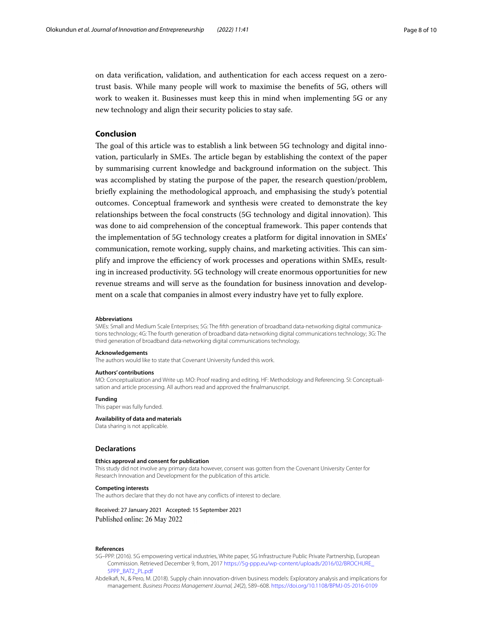on data verifcation, validation, and authentication for each access request on a zerotrust basis. While many people will work to maximise the benefts of 5G, others will work to weaken it. Businesses must keep this in mind when implementing 5G or any new technology and align their security policies to stay safe.

### **Conclusion**

The goal of this article was to establish a link between 5G technology and digital innovation, particularly in SMEs. The article began by establishing the context of the paper by summarising current knowledge and background information on the subject. Tis was accomplished by stating the purpose of the paper, the research question/problem, briefy explaining the methodological approach, and emphasising the study's potential outcomes. Conceptual framework and synthesis were created to demonstrate the key relationships between the focal constructs (5G technology and digital innovation). Tis was done to aid comprehension of the conceptual framework. This paper contends that the implementation of 5G technology creates a platform for digital innovation in SMEs' communication, remote working, supply chains, and marketing activities. This can simplify and improve the efficiency of work processes and operations within SMEs, resulting in increased productivity. 5G technology will create enormous opportunities for new revenue streams and will serve as the foundation for business innovation and development on a scale that companies in almost every industry have yet to fully explore.

#### **Abbreviations**

SMEs: Small and Medium Scale Enterprises; 5G: The ffth generation of broadband data-networking digital communications technology; 4G: The fourth generation of broadband data-networking digital communications technology; 3G: The third generation of broadband data-networking digital communications technology.

#### **Acknowledgements**

The authors would like to state that Covenant University funded this work.

#### **Authors' contributions**

MO: Conceptualization and Write up. MO: Proof reading and editing. HF: Methodology and Referencing. SI: Conceptualisation and article processing. All authors read and approved the fnalmanuscript.

### **Funding**

This paper was fully funded.

### **Availability of data and materials**

Data sharing is not applicable.

### **Declarations**

#### **Ethics approval and consent for publication**

This study did not involve any primary data however, consent was gotten from the Covenant University Center for Research Innovation and Development for the publication of this article.

#### **Competing interests**

The authors declare that they do not have any conficts of interest to declare.

### Received: 27 January 2021 Accepted: 15 September 2021 Published online: 26 May 2022

#### **References**

- <span id="page-7-0"></span>5G–PPP. (2016). 5G empowering vertical industries, White paper, 5G Infrastructure Public Private Partnership, European Commission. Retrieved December 9, from, 2017 [https://5g-ppp.eu/wp-content/uploads/2016/02/BROCHURE\\_](https://5g-ppp.eu/wp-content/uploads/2016/02/BROCHURE_5PPP_BAT2_PL.pdf) [5PPP\\_BAT2\\_PL.pdf](https://5g-ppp.eu/wp-content/uploads/2016/02/BROCHURE_5PPP_BAT2_PL.pdf)
- <span id="page-7-1"></span>Abdelkaf, N., & Pero, M. (2018). Supply chain innovation-driven business models: Exploratory analysis and implications for management. *Business Process Management Journal, 24*(2), 589–608. <https://doi.org/10.1108/BPMJ-05-2016-0109>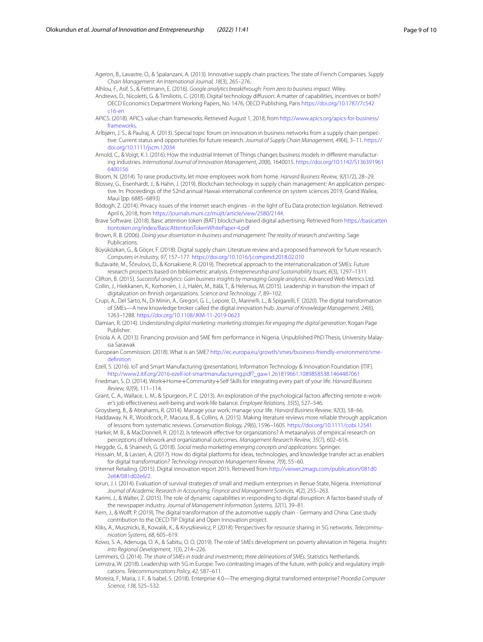<span id="page-8-29"></span>Ageron, B., Lavastre, O., & Spalanzani, A. (2013). Innovative supply chain practices: The state of French Companies. *Supply Chain Management: An International Journal, 18*(3), 265–276.

<span id="page-8-23"></span>Alhlou, F., Asif, S., & Fettmann, E. (2016). *Google analytics breakthrough: From zero to business impact*. Wiley.

<span id="page-8-11"></span>Andrews, D., Nicoletti, G. & Timiliotis, C. (2018). Digital technology difusion: A matter of capabilities, incentives or both? OECD Economics Department Working Papers, No. 1476, OECD Publishing, Paris [https://doi.org/10.1787/7c542](https://doi.org/10.1787/7c542c16-en) [c16-en](https://doi.org/10.1787/7c542c16-en)

- <span id="page-8-30"></span>APICS. (2018). APICS value chain frameworks. Retrieved August 1, 2018, from [http://www.apics.org/apics-for-business/](http://www.apics.org/apics-for-business/frameworks) frameworks
- <span id="page-8-31"></span>Arlbjørn, J. S., & Paulraj, A. (2013). Special topic forum on innovation in business networks from a supply chain perspective: Current status and opportunities for future research. *Journal of Supply Chain Management, 49*(4), 3–11. [https://](https://doi.org/10.1111/jscm.12034) [doi.org/10.1111/jscm.12034](https://doi.org/10.1111/jscm.12034)
- <span id="page-8-32"></span>Arnold, C., & Voigt, K. I. (2016). How the industrial Internet of Things changes business models in diferent manufacturing industries. *International Journal of Innovation Management, 20*(8), 1640015. [https://doi.org/10.1142/S136391961](https://doi.org/10.1142/S1363919616400156) [6400156](https://doi.org/10.1142/S1363919616400156)

<span id="page-8-17"></span>Bloom, N. (2014). To raise productivity, let more employees work from home. *Harvard Business Review, 92*(1/2), 28–29.

<span id="page-8-33"></span>Blossey, G., Eisenhardt, J., & Hahn, J. (2019). Blockchain technology in supply chain management: An application perspective. In: Proceedings of the 52nd annual Hawaii international conference on system sciences 2019, Grand Wailea, Maui (pp. 6885–6893)

<span id="page-8-22"></span>Bódogh, Z. (2014). Privacy issues of the Internet search engines - in the light of Eu Data protection legislation. Retrieved April 6, 2018, from<https://journals.muni.cz/mujlt/article/view/2580/2144>.

<span id="page-8-24"></span>Brave Software. (2018). Basic attention token (BAT) blockchain based digital advertising. Retrieved from [https://basicatten](https://basicattentiontoken.org/index/BasicAttentionTokenWhitePaper-4.pdf) [tiontoken.org/index/BasicAttentionTokenWhitePaper-4.pdf](https://basicattentiontoken.org/index/BasicAttentionTokenWhitePaper-4.pdf)

- <span id="page-8-0"></span>Brown, R. B. (2006). *Doing your dissertation in business and management: The reality of research and writing*. Sage Publications.
- <span id="page-8-34"></span>Büyüközkan, G., & Göçer, F. (2018). Digital supply chain: Literature review and a proposed framework for future research. *Computers in Industry, 97*, 157–177.<https://doi.org/10.1016/j.compind.2018.02.010>

<span id="page-8-5"></span>Bužavaitė, M., Ščeulovs, D., & Korsakienė, R. (2019). Theoretical approach to the internationalization of SMEs: Future research prospects based on bibliometric analysis. *Entrepreneurship and Sustainability Issues, 6*(3), 1297–1311.

<span id="page-8-25"></span><span id="page-8-14"></span>Clifton, B. (2015). *Successful analytics: Gain business insights by managing Google analytics*. Advanced Web Metrics Ltd. Collin, J., Hiekkanen, K., Korhonen, J. J., Halén, M., Itälä, T., & Helenius, M. (2015). Leadership in transition-the impact of digitalization on fnnish organizations. *Science and Technology, 7*, 89–102.

<span id="page-8-35"></span>Crupi, A., Del Sarto, N., Di Minin, A., Gregori, G. L., Lepore, D., Marinelli, L., & Spigarelli, F. (2020). The digital transformation of SMEs—A new knowledge broker called the digital innovation hub. *Journal of Knowledge Management, 24*(6), 1263–1288. <https://doi.org/10.1108/JKM-11-2019-0623>

<span id="page-8-26"></span>Damian, R. (2014). *Understanding digital marketing: marketing strategies for engaging the digital generation*. Kogan Page Publisher.

<span id="page-8-10"></span>Eniola A. A. (2013). Financing provision and SME frm performance in Nigeria. Unpublished PhD Thesis, University Malaysia Sarawak

<span id="page-8-3"></span>European Commission. (2018). What is an SME? [http://ec.europa.eu/growth/smes/business-friendly-environment/sme](http://ec.europa.eu/growth/smes/business-friendly-environment/sme-definition)[defnition](http://ec.europa.eu/growth/smes/business-friendly-environment/sme-definition)

<span id="page-8-12"></span>Ezell, S. (2016). IoT and Smart Manufacturing (presentation), Information Technology & Innovation Foundation (ITIF). [http://www2.itif.org/2016-ezell-iot-smartmanufacturing.pdf?\\_ga](http://www2.itif.org/2016-ezell-iot-smartmanufacturing.pdf?_ga=1.261819661.1089858538.1464487061)=1.261819661.1089858538.1464487061

<span id="page-8-18"></span>Friedman, S. D. (2014). Work+Home+Community+Self Skills for integrating every part of your life. *Harvard Business Review, 92*(9), 111–114.

<span id="page-8-19"></span>Grant, C. A., Wallace, L. M., & Spurgeon, P. C. (2013). An exploration of the psychological factors afecting remote e-worker's job efectiveness well-being and work-life balance. *Employee Relations, 35*(5), 527–546.

<span id="page-8-20"></span><span id="page-8-1"></span>Groysberg, B., & Abrahams, R. (2014). Manage your work, manage your life. *Harvard Business Review, 92*(3), 58–66. Haddaway, N. R., Woodcock, P., Macura, B., & Collins, A. (2015). Making literature reviews more reliable through application

<span id="page-8-21"></span>of lessons from systematic reviews. *Conservation Biology, 29*(6), 1596–1605. <https://doi.org/10.1111/cobi.12541> Harker, M. B., & MacDonnell, R. (2012). Is telework efective for organizations? A metaanalysis of empirical research on perceptions of telework and organizational outcomes. *Management Research Review, 35*(7), 602–616.

<span id="page-8-27"></span>Heggde, G., & Shainesh, G. (2018). *Social media marketing emerging concepts and applications*. Springer.

<span id="page-8-13"></span>Hossain, M., & Lassen, A. (2017). How do digital platforms for ideas, technologies, and knowledge transfer act as enablers for digital transformation? *Technology Innovation Management Review, 7*(9), 55–60.

<span id="page-8-15"></span>Internet Retailing. (2015). Digital innovation report 2015. Retrieved from [http://viewer.zmags.com/publication/081d0](http://viewer.zmags.com/publication/081d02e6#/081d02e6/2) [2e6#/081d02e6/2.](http://viewer.zmags.com/publication/081d02e6#/081d02e6/2)

<span id="page-8-9"></span>Iorun, J. I. (2014). Evaluation of survival strategies of small and medium enterprises in Benue State, Nigeria. *International Journal of Academic Research in Accounting, Finance and Management Sciences, 4*(2), 255–263.

<span id="page-8-6"></span>Karimi, J., & Walter, Z. (2015). The role of dynamic capabilities in responding to digital disruption: A factor-based study of the newspaper industry. *Journal of Management Information Systems, 32*(1), 39–81.

<span id="page-8-28"></span>Kern, J., & Wolf, P. (2019), The digital transformation of the automotive supply chain - Germany and China: Case study contribution to the OECD TIP Digital and Open Innovation project.

<span id="page-8-7"></span>Kliks, A., Musznicki, B., Kowalik, K., & Kryszkiewicz, P. (2018). Perspectives for resource sharing in 5G networks. *Telecommunication Systems, 68*, 605–619.

<span id="page-8-2"></span>Kowo, S. A., Adenuga, O. A., & Sabitu, O. O. (2019). The role of SMEs development on poverty alleviation in Nigeria. *Insights into Regional Development, 1*(3), 214–226.

<span id="page-8-4"></span>Lemmers, O. (2014). *The share of SMEs in trade and investments; three delineations of SMEs*. Statistics Netherlands.

<span id="page-8-8"></span>Lemstra, W. (2018). Leadership with 5G in Europe: Two contrasting images of the future, with policy and regulatory implications. *Telecommunications Policy, 42*, 587–611.

<span id="page-8-16"></span>Moreira, F., Maria, J. F., & Isabel, S. (2018). Enterprise 4.0—The emerging digital transformed enterprise? *Procedia Computer Science, 138*, 525–532.